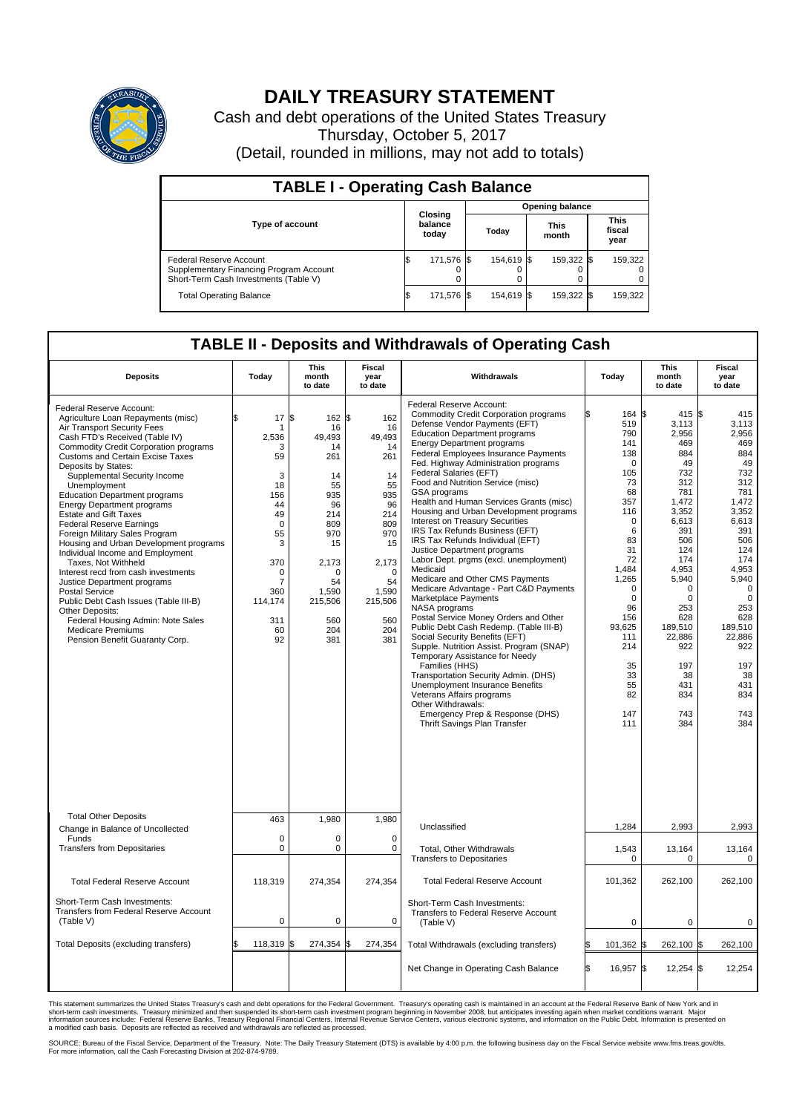

## **DAILY TREASURY STATEMENT**

Cash and debt operations of the United States Treasury Thursday, October 5, 2017 (Detail, rounded in millions, may not add to totals)

| <b>TABLE I - Operating Cash Balance</b>                                                                     |  |                             |  |                        |  |                      |  |                               |  |  |
|-------------------------------------------------------------------------------------------------------------|--|-----------------------------|--|------------------------|--|----------------------|--|-------------------------------|--|--|
|                                                                                                             |  | Closing<br>balance<br>today |  | <b>Opening balance</b> |  |                      |  |                               |  |  |
| <b>Type of account</b>                                                                                      |  |                             |  | Today                  |  | <b>This</b><br>month |  | <b>This</b><br>fiscal<br>year |  |  |
| Federal Reserve Account<br>Supplementary Financing Program Account<br>Short-Term Cash Investments (Table V) |  | 171,576 \$                  |  | 154.619 \\$            |  | 159,322 \$           |  | 159,322                       |  |  |
| <b>Total Operating Balance</b>                                                                              |  | 171,576 \$                  |  | 154,619 \$             |  | 159,322 \$           |  | 159,322                       |  |  |

## **TABLE II - Deposits and Withdrawals of Operating Cash**

| <b>Deposits</b>                                                                                                                                                                                                                                                                                                                                                                                                                                                                                                                                                                                                                                                                                                                                                                                                                                        | Today                                                                                                                                                   | <b>This</b><br>month<br>to date                                                                                                                           | Fiscal<br>year<br>to date                                                                                                                                | Withdrawals                                                                                                                                                                                                                                                                                                                                                                                                                                                                                                                                                                                                                                                                                                                                                                                                                                                                                                                                                                                                                                                                                                                                                                                               |     | Today                                                                                                                                                                                                                        | <b>This</b><br>month<br>to date                                                                                                                                                                                                                  | Fiscal<br>year<br>to date                                                                                                                                                                                                                                |
|--------------------------------------------------------------------------------------------------------------------------------------------------------------------------------------------------------------------------------------------------------------------------------------------------------------------------------------------------------------------------------------------------------------------------------------------------------------------------------------------------------------------------------------------------------------------------------------------------------------------------------------------------------------------------------------------------------------------------------------------------------------------------------------------------------------------------------------------------------|---------------------------------------------------------------------------------------------------------------------------------------------------------|-----------------------------------------------------------------------------------------------------------------------------------------------------------|----------------------------------------------------------------------------------------------------------------------------------------------------------|-----------------------------------------------------------------------------------------------------------------------------------------------------------------------------------------------------------------------------------------------------------------------------------------------------------------------------------------------------------------------------------------------------------------------------------------------------------------------------------------------------------------------------------------------------------------------------------------------------------------------------------------------------------------------------------------------------------------------------------------------------------------------------------------------------------------------------------------------------------------------------------------------------------------------------------------------------------------------------------------------------------------------------------------------------------------------------------------------------------------------------------------------------------------------------------------------------------|-----|------------------------------------------------------------------------------------------------------------------------------------------------------------------------------------------------------------------------------|--------------------------------------------------------------------------------------------------------------------------------------------------------------------------------------------------------------------------------------------------|----------------------------------------------------------------------------------------------------------------------------------------------------------------------------------------------------------------------------------------------------------|
| Federal Reserve Account:<br>Agriculture Loan Repayments (misc)<br>Air Transport Security Fees<br>Cash FTD's Received (Table IV)<br><b>Commodity Credit Corporation programs</b><br><b>Customs and Certain Excise Taxes</b><br>Deposits by States:<br>Supplemental Security Income<br>Unemployment<br><b>Education Department programs</b><br><b>Energy Department programs</b><br><b>Estate and Gift Taxes</b><br><b>Federal Reserve Earnings</b><br>Foreign Military Sales Program<br>Housing and Urban Development programs<br>Individual Income and Employment<br>Taxes. Not Withheld<br>Interest recd from cash investments<br>Justice Department programs<br><b>Postal Service</b><br>Public Debt Cash Issues (Table III-B)<br>Other Deposits:<br>Federal Housing Admin: Note Sales<br><b>Medicare Premiums</b><br>Pension Benefit Guaranty Corp. | 17<br>\$<br>2,536<br>3<br>59<br>3<br>18<br>156<br>44<br>49<br>$\mathbf 0$<br>55<br>3<br>370<br>0<br>$\overline{7}$<br>360<br>114,174<br>311<br>60<br>92 | l\$<br>162S<br>16<br>49,493<br>14<br>261<br>14<br>55<br>935<br>96<br>214<br>809<br>970<br>15<br>2,173<br>∩<br>54<br>1,590<br>215,506<br>560<br>204<br>381 | 162<br>16<br>49,493<br>14<br>261<br>14<br>55<br>935<br>96<br>214<br>809<br>970<br>15<br>2,173<br>$\Omega$<br>54<br>1,590<br>215,506<br>560<br>204<br>381 | Federal Reserve Account:<br><b>Commodity Credit Corporation programs</b><br>Defense Vendor Payments (EFT)<br><b>Education Department programs</b><br><b>Energy Department programs</b><br>Federal Employees Insurance Payments<br>Fed. Highway Administration programs<br>Federal Salaries (EFT)<br>Food and Nutrition Service (misc)<br>GSA programs<br>Health and Human Services Grants (misc)<br>Housing and Urban Development programs<br><b>Interest on Treasury Securities</b><br>IRS Tax Refunds Business (EFT)<br>IRS Tax Refunds Individual (EFT)<br>Justice Department programs<br>Labor Dept. prgms (excl. unemployment)<br>Medicaid<br>Medicare and Other CMS Payments<br>Medicare Advantage - Part C&D Payments<br><b>Marketplace Payments</b><br>NASA programs<br>Postal Service Money Orders and Other<br>Public Debt Cash Redemp. (Table III-B)<br>Social Security Benefits (EFT)<br>Supple. Nutrition Assist. Program (SNAP)<br>Temporary Assistance for Needy<br>Families (HHS)<br>Transportation Security Admin. (DHS)<br><b>Unemployment Insurance Benefits</b><br>Veterans Affairs programs<br>Other Withdrawals:<br>Emergency Prep & Response (DHS)<br>Thrift Savings Plan Transfer |     | 164 \$<br>519<br>790<br>141<br>138<br>0<br>105<br>73<br>68<br>357<br>116<br>0<br>6<br>83<br>31<br>72<br>1,484<br>1,265<br>$\Omega$<br>$\mathbf 0$<br>96<br>156<br>93,625<br>111<br>214<br>35<br>33<br>55<br>82<br>147<br>111 | $415$ \$<br>3,113<br>2,956<br>469<br>884<br>49<br>732<br>312<br>781<br>1,472<br>3.352<br>6,613<br>391<br>506<br>124<br>174<br>4.953<br>5,940<br>$\Omega$<br>0<br>253<br>628<br>189,510<br>22,886<br>922<br>197<br>38<br>431<br>834<br>743<br>384 | 415<br>3,113<br>2,956<br>469<br>884<br>49<br>732<br>312<br>781<br>1,472<br>3.352<br>6,613<br>391<br>506<br>124<br>174<br>4,953<br>5,940<br>$\mathbf 0$<br>$\mathbf 0$<br>253<br>628<br>189,510<br>22,886<br>922<br>197<br>38<br>431<br>834<br>743<br>384 |
| <b>Total Other Deposits</b><br>Change in Balance of Uncollected                                                                                                                                                                                                                                                                                                                                                                                                                                                                                                                                                                                                                                                                                                                                                                                        | 463                                                                                                                                                     | 1,980                                                                                                                                                     | 1,980                                                                                                                                                    | Unclassified                                                                                                                                                                                                                                                                                                                                                                                                                                                                                                                                                                                                                                                                                                                                                                                                                                                                                                                                                                                                                                                                                                                                                                                              |     | 1,284                                                                                                                                                                                                                        | 2,993                                                                                                                                                                                                                                            | 2,993                                                                                                                                                                                                                                                    |
| Funds<br><b>Transfers from Depositaries</b>                                                                                                                                                                                                                                                                                                                                                                                                                                                                                                                                                                                                                                                                                                                                                                                                            | $\mathbf 0$<br>$\mathbf 0$                                                                                                                              | $\mathbf 0$<br>$\mathbf 0$                                                                                                                                | $\Omega$<br>$\Omega$                                                                                                                                     | Total, Other Withdrawals<br><b>Transfers to Depositaries</b>                                                                                                                                                                                                                                                                                                                                                                                                                                                                                                                                                                                                                                                                                                                                                                                                                                                                                                                                                                                                                                                                                                                                              |     | 1,543<br>$\mathbf 0$                                                                                                                                                                                                         | 13,164<br>0                                                                                                                                                                                                                                      | 13,164<br>0                                                                                                                                                                                                                                              |
| <b>Total Federal Reserve Account</b>                                                                                                                                                                                                                                                                                                                                                                                                                                                                                                                                                                                                                                                                                                                                                                                                                   | 118,319                                                                                                                                                 | 274,354                                                                                                                                                   | 274,354                                                                                                                                                  | <b>Total Federal Reserve Account</b>                                                                                                                                                                                                                                                                                                                                                                                                                                                                                                                                                                                                                                                                                                                                                                                                                                                                                                                                                                                                                                                                                                                                                                      |     | 101,362                                                                                                                                                                                                                      | 262,100                                                                                                                                                                                                                                          | 262,100                                                                                                                                                                                                                                                  |
| Short-Term Cash Investments:<br>Transfers from Federal Reserve Account<br>(Table V)                                                                                                                                                                                                                                                                                                                                                                                                                                                                                                                                                                                                                                                                                                                                                                    | $\pmb{0}$                                                                                                                                               | $\pmb{0}$                                                                                                                                                 | 0                                                                                                                                                        | Short-Term Cash Investments:<br>Transfers to Federal Reserve Account<br>(Table V)                                                                                                                                                                                                                                                                                                                                                                                                                                                                                                                                                                                                                                                                                                                                                                                                                                                                                                                                                                                                                                                                                                                         |     | $\mathbf 0$                                                                                                                                                                                                                  | 0                                                                                                                                                                                                                                                | 0                                                                                                                                                                                                                                                        |
| Total Deposits (excluding transfers)                                                                                                                                                                                                                                                                                                                                                                                                                                                                                                                                                                                                                                                                                                                                                                                                                   | 118,319                                                                                                                                                 | l\$<br>274,354                                                                                                                                            | 274,354                                                                                                                                                  | Total Withdrawals (excluding transfers)                                                                                                                                                                                                                                                                                                                                                                                                                                                                                                                                                                                                                                                                                                                                                                                                                                                                                                                                                                                                                                                                                                                                                                   |     | 101,362 \$                                                                                                                                                                                                                   | 262,100 \$                                                                                                                                                                                                                                       | 262,100                                                                                                                                                                                                                                                  |
|                                                                                                                                                                                                                                                                                                                                                                                                                                                                                                                                                                                                                                                                                                                                                                                                                                                        |                                                                                                                                                         |                                                                                                                                                           |                                                                                                                                                          | Net Change in Operating Cash Balance                                                                                                                                                                                                                                                                                                                                                                                                                                                                                                                                                                                                                                                                                                                                                                                                                                                                                                                                                                                                                                                                                                                                                                      | l\$ | 16,957 \$                                                                                                                                                                                                                    | $12,254$ \$                                                                                                                                                                                                                                      | 12,254                                                                                                                                                                                                                                                   |

This statement summarizes the United States Treasury's cash and debt operations for the Federal Government. Treasury's operating cash is maintained in an account at the Federal Reserve Bank of New York and in<br>short-term ca

SOURCE: Bureau of the Fiscal Service, Department of the Treasury. Note: The Daily Treasury Statement (DTS) is available by 4:00 p.m. the following business day on the Fiscal Service website www.fms.treas.gov/dts.<br>For more